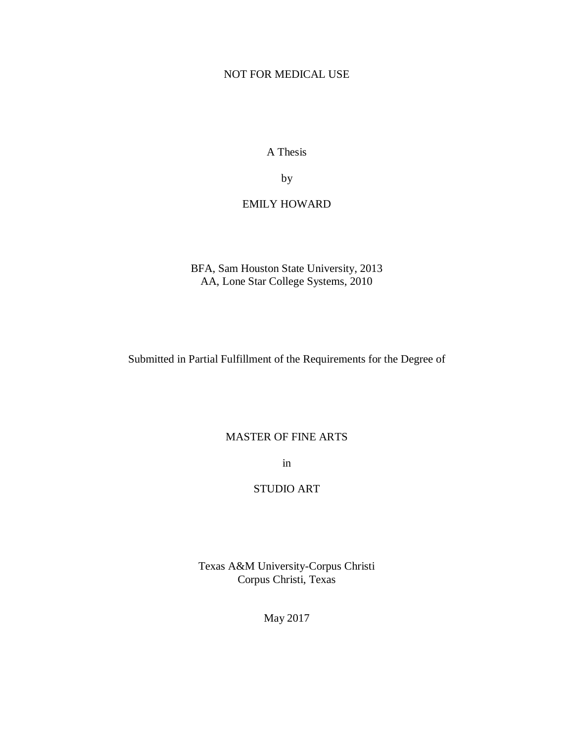## NOT FOR MEDICAL USE

A Thesis

by

## EMILY HOWARD

BFA, Sam Houston State University, 2013 AA, Lone Star College Systems, 2010

Submitted in Partial Fulfillment of the Requirements for the Degree of

### MASTER OF FINE ARTS

in

## STUDIO ART

Texas A&M University-Corpus Christi Corpus Christi, Texas

May 2017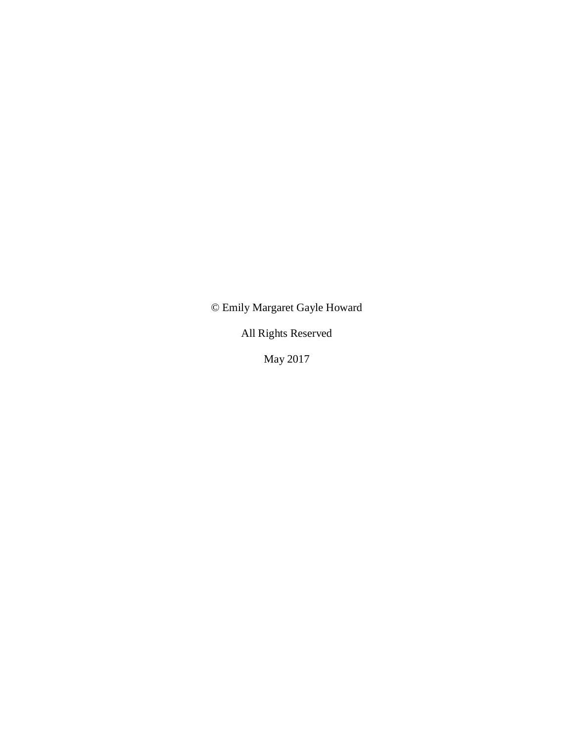© Emily Margaret Gayle Howard

All Rights Reserved

May 2017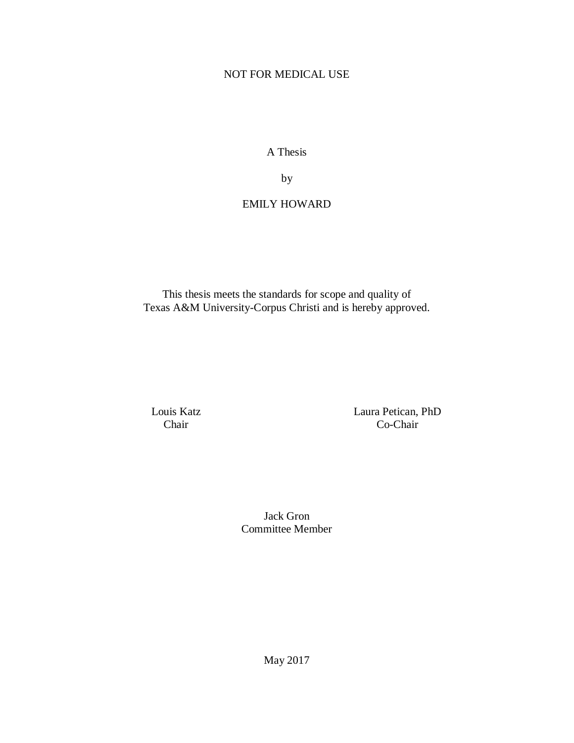## NOT FOR MEDICAL USE

A Thesis

by

# EMILY HOWARD

This thesis meets the standards for scope and quality of Texas A&M University-Corpus Christi and is hereby approved.

Louis Katz Chair

Laura Petican, PhD Co-Chair

Jack Gron Committee Member

May 2017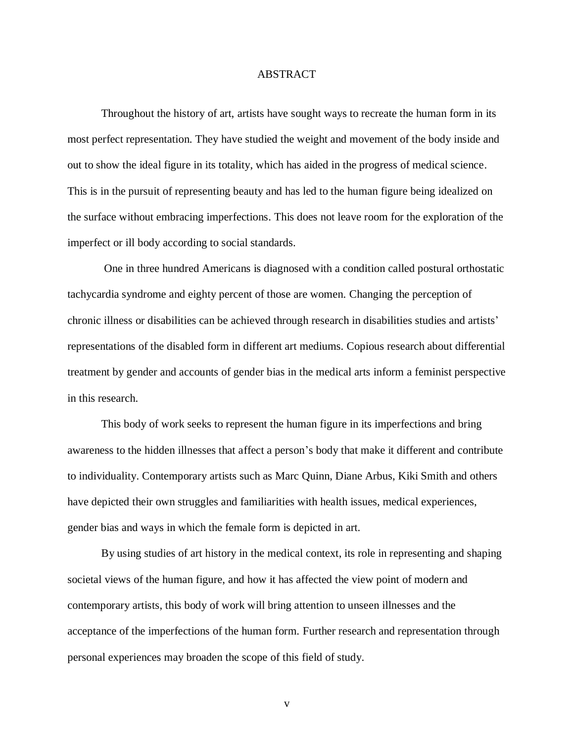#### ABSTRACT

Throughout the history of art, artists have sought ways to recreate the human form in its most perfect representation. They have studied the weight and movement of the body inside and out to show the ideal figure in its totality, which has aided in the progress of medical science. This is in the pursuit of representing beauty and has led to the human figure being idealized on the surface without embracing imperfections. This does not leave room for the exploration of the imperfect or ill body according to social standards.

One in three hundred Americans is diagnosed with a condition called postural orthostatic tachycardia syndrome and eighty percent of those are women. Changing the perception of chronic illness or disabilities can be achieved through research in disabilities studies and artists' representations of the disabled form in different art mediums. Copious research about differential treatment by gender and accounts of gender bias in the medical arts inform a feminist perspective in this research.

This body of work seeks to represent the human figure in its imperfections and bring awareness to the hidden illnesses that affect a person's body that make it different and contribute to individuality. Contemporary artists such as Marc Quinn, Diane Arbus, Kiki Smith and others have depicted their own struggles and familiarities with health issues, medical experiences, gender bias and ways in which the female form is depicted in art.

By using studies of art history in the medical context, its role in representing and shaping societal views of the human figure, and how it has affected the view point of modern and contemporary artists, this body of work will bring attention to unseen illnesses and the acceptance of the imperfections of the human form. Further research and representation through personal experiences may broaden the scope of this field of study.

v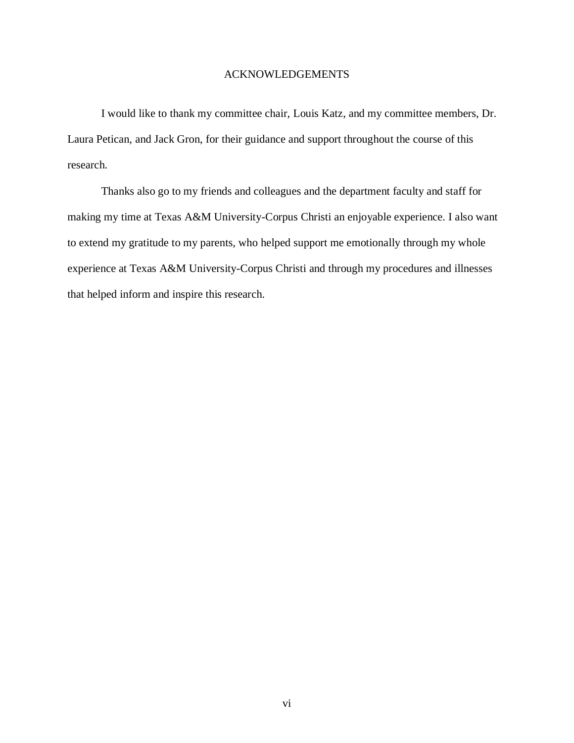### ACKNOWLEDGEMENTS

I would like to thank my committee chair, Louis Katz, and my committee members, Dr. Laura Petican, and Jack Gron, for their guidance and support throughout the course of this research.

Thanks also go to my friends and colleagues and the department faculty and staff for making my time at Texas A&M University-Corpus Christi an enjoyable experience. I also want to extend my gratitude to my parents, who helped support me emotionally through my whole experience at Texas A&M University-Corpus Christi and through my procedures and illnesses that helped inform and inspire this research.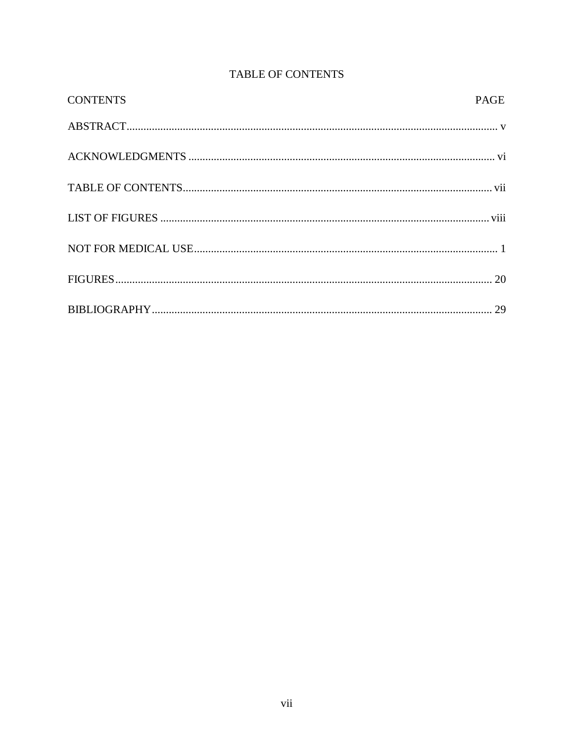| <b>CONTENTS</b> | <b>PAGE</b> |
|-----------------|-------------|
|                 |             |
|                 |             |
|                 |             |
|                 |             |
|                 |             |
|                 |             |
|                 |             |

# TABLE OF CONTENTS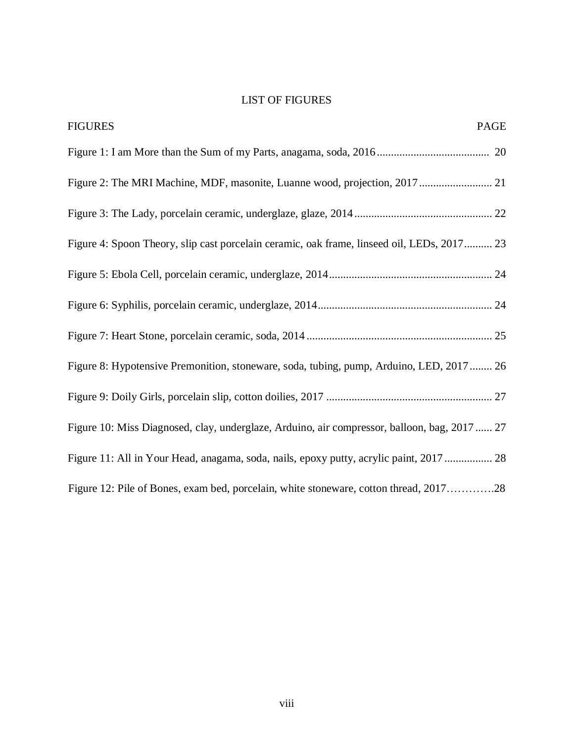# <span id="page-6-0"></span>LIST OF FIGURES

| <b>FIGURES</b><br>PAGE                                                                       |
|----------------------------------------------------------------------------------------------|
|                                                                                              |
| Figure 2: The MRI Machine, MDF, masonite, Luanne wood, projection, 2017 21                   |
|                                                                                              |
| Figure 4: Spoon Theory, slip cast porcelain ceramic, oak frame, linseed oil, LEDs, 2017 23   |
|                                                                                              |
|                                                                                              |
|                                                                                              |
| Figure 8: Hypotensive Premonition, stoneware, soda, tubing, pump, Arduino, LED, 2017  26     |
|                                                                                              |
| Figure 10: Miss Diagnosed, clay, underglaze, Arduino, air compressor, balloon, bag, 2017  27 |
| Figure 11: All in Your Head, anagama, soda, nails, epoxy putty, acrylic paint, 2017  28      |
| Figure 12: Pile of Bones, exam bed, porcelain, white stoneware, cotton thread, 201728        |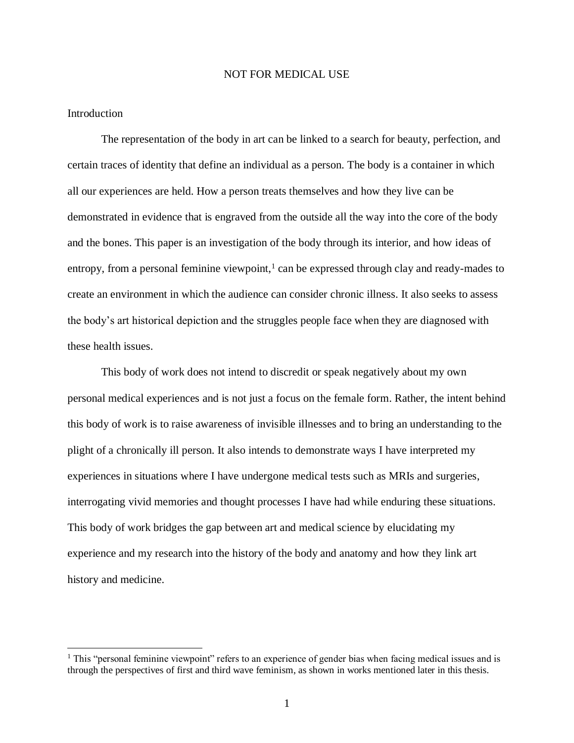#### NOT FOR MEDICAL USE

#### Introduction

 $\overline{a}$ 

The representation of the body in art can be linked to a search for beauty, perfection, and certain traces of identity that define an individual as a person. The body is a container in which all our experiences are held. How a person treats themselves and how they live can be demonstrated in evidence that is engraved from the outside all the way into the core of the body and the bones. This paper is an investigation of the body through its interior, and how ideas of entropy, from a personal feminine viewpoint,<sup>1</sup> can be expressed through clay and ready-mades to create an environment in which the audience can consider chronic illness. It also seeks to assess the body's art historical depiction and the struggles people face when they are diagnosed with these health issues.

This body of work does not intend to discredit or speak negatively about my own personal medical experiences and is not just a focus on the female form. Rather, the intent behind this body of work is to raise awareness of invisible illnesses and to bring an understanding to the plight of a chronically ill person. It also intends to demonstrate ways I have interpreted my experiences in situations where I have undergone medical tests such as MRIs and surgeries, interrogating vivid memories and thought processes I have had while enduring these situations. This body of work bridges the gap between art and medical science by elucidating my experience and my research into the history of the body and anatomy and how they link art history and medicine.

<sup>&</sup>lt;sup>1</sup> This "personal feminine viewpoint" refers to an experience of gender bias when facing medical issues and is through the perspectives of first and third wave feminism, as shown in works mentioned later in this thesis.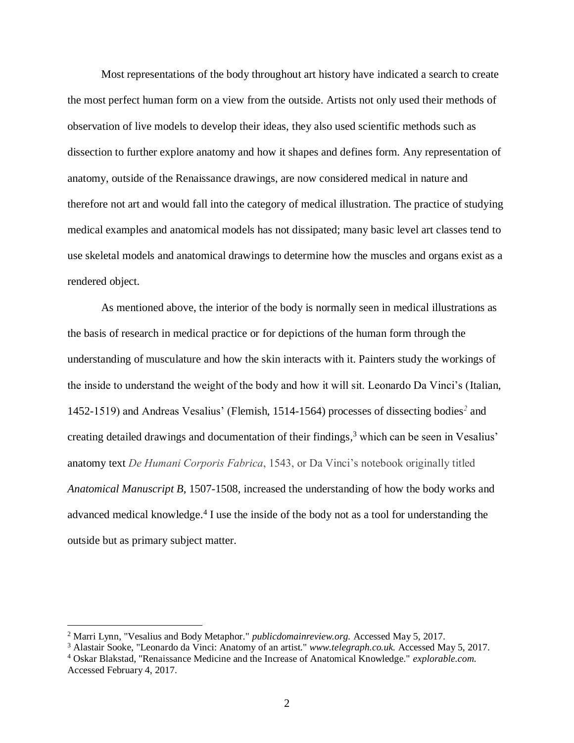Most representations of the body throughout art history have indicated a search to create the most perfect human form on a view from the outside. Artists not only used their methods of observation of live models to develop their ideas, they also used scientific methods such as dissection to further explore anatomy and how it shapes and defines form. Any representation of anatomy, outside of the Renaissance drawings, are now considered medical in nature and therefore not art and would fall into the category of medical illustration. The practice of studying medical examples and anatomical models has not dissipated; many basic level art classes tend to use skeletal models and anatomical drawings to determine how the muscles and organs exist as a rendered object.

As mentioned above, the interior of the body is normally seen in medical illustrations as the basis of research in medical practice or for depictions of the human form through the understanding of musculature and how the skin interacts with it. Painters study the workings of the inside to understand the weight of the body and how it will sit. Leonardo Da Vinci's (Italian, 1452-1519) and Andreas Vesalius' (Flemish, 1514-1564) processes of dissecting bodies*<sup>2</sup>* and creating detailed drawings and documentation of their findings, <sup>3</sup> which can be seen in Vesalius' anatomy text *De Humani Corporis Fabrica*, 1543, or Da Vinci's notebook originally titled *Anatomical Manuscript B*, 1507-1508, increased the understanding of how the body works and advanced medical knowledge. 4 I use the inside of the body not as a tool for understanding the outside but as primary subject matter.

<sup>2</sup> Marri Lynn, "Vesalius and Body Metaphor." *publicdomainreview.org.* Accessed May 5, 2017.

<sup>3</sup> Alastair Sooke, "Leonardo da Vinci: Anatomy of an artist." *www.telegraph.co.uk.* Accessed May 5, 2017.

<sup>4</sup> Oskar Blakstad, "Renaissance Medicine and the Increase of Anatomical Knowledge." *explorable.com.* Accessed February 4, 2017.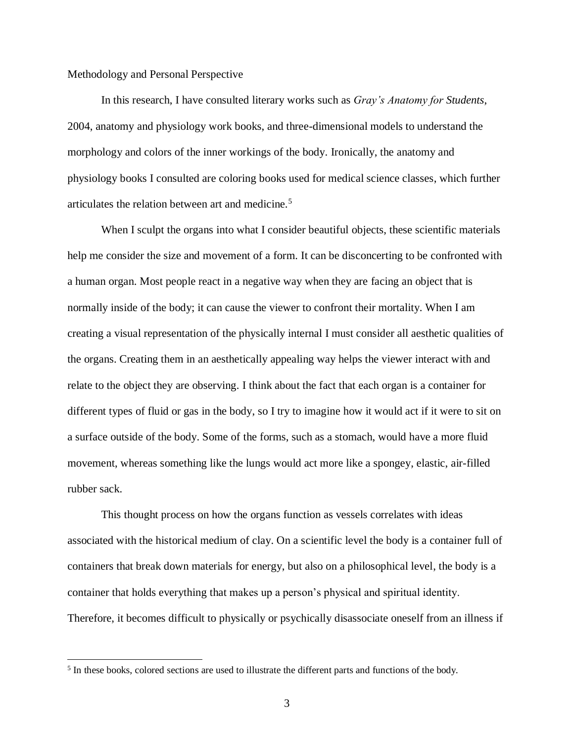#### Methodology and Personal Perspective

In this research, I have consulted literary works such as *Gray's Anatomy for Students*, 2004, anatomy and physiology work books, and three-dimensional models to understand the morphology and colors of the inner workings of the body. Ironically, the anatomy and physiology books I consulted are coloring books used for medical science classes, which further articulates the relation between art and medicine.<sup>5</sup>

When I sculpt the organs into what I consider beautiful objects, these scientific materials help me consider the size and movement of a form. It can be disconcerting to be confronted with a human organ. Most people react in a negative way when they are facing an object that is normally inside of the body; it can cause the viewer to confront their mortality. When I am creating a visual representation of the physically internal I must consider all aesthetic qualities of the organs. Creating them in an aesthetically appealing way helps the viewer interact with and relate to the object they are observing. I think about the fact that each organ is a container for different types of fluid or gas in the body, so I try to imagine how it would act if it were to sit on a surface outside of the body. Some of the forms, such as a stomach, would have a more fluid movement, whereas something like the lungs would act more like a spongey, elastic, air-filled rubber sack.

This thought process on how the organs function as vessels correlates with ideas associated with the historical medium of clay. On a scientific level the body is a container full of containers that break down materials for energy, but also on a philosophical level, the body is a container that holds everything that makes up a person's physical and spiritual identity. Therefore, it becomes difficult to physically or psychically disassociate oneself from an illness if

<sup>&</sup>lt;sup>5</sup> In these books, colored sections are used to illustrate the different parts and functions of the body.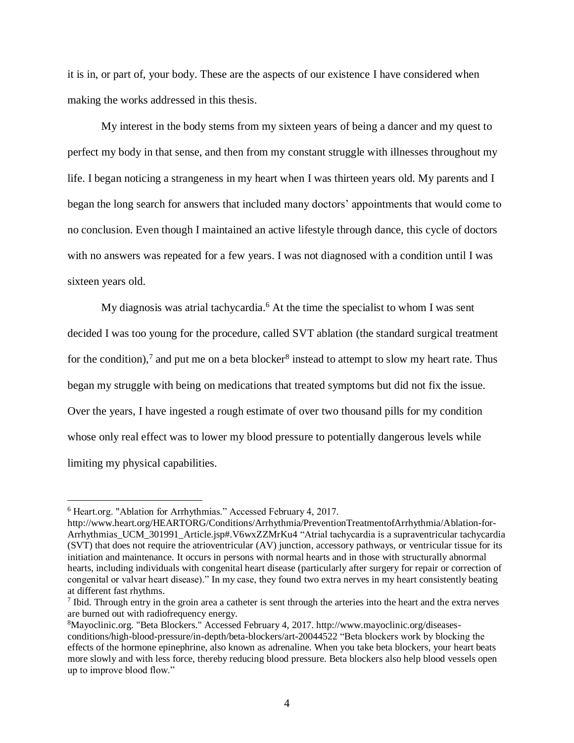it is in, or part of, your body. These are the aspects of our existence I have considered when making the works addressed in this thesis.

My interest in the body stems from my sixteen years of being a dancer and my quest to perfect my body in that sense, and then from my constant struggle with illnesses throughout my life. I began noticing a strangeness in my heart when I was thirteen years old. My parents and I began the long search for answers that included many doctors' appointments that would come to no conclusion. Even though I maintained an active lifestyle through dance, this cycle of doctors with no answers was repeated for a few years. I was not diagnosed with a condition until I was sixteen years old.

My diagnosis was atrial tachycardia. <sup>6</sup> At the time the specialist to whom I was sent decided I was too young for the procedure, called SVT ablation (the standard surgical treatment for the condition),<sup>7</sup> and put me on a beta blocker<sup>8</sup> instead to attempt to slow my heart rate. Thus began my struggle with being on medications that treated symptoms but did not fix the issue. Over the years, I have ingested a rough estimate of over two thousand pills for my condition whose only real effect was to lower my blood pressure to potentially dangerous levels while limiting my physical capabilities.

<sup>6</sup> Heart.org. "Ablation for Arrhythmias." Accessed February 4, 2017.

http://www.heart.org/HEARTORG/Conditions/Arrhythmia/PreventionTreatmentofArrhythmia/Ablation-for-Arrhythmias\_UCM\_301991\_Article.jsp#.V6wxZZMrKu4 "Atrial tachycardia is a supraventricular tachycardia (SVT) that does not require the atrioventricular (AV) junction, accessory pathways, or ventricular tissue for its initiation and maintenance. It occurs in persons with normal hearts and in those with structurally abnormal hearts, including individuals with congenital heart disease (particularly after surgery for repair or correction of congenital or valvar heart disease)." In my case, they found two extra nerves in my heart consistently beating at different fast rhythms.

<sup>&</sup>lt;sup>7</sup> Ibid. Through entry in the groin area a catheter is sent through the arteries into the heart and the extra nerves are burned out with radiofrequency energy.

<sup>8</sup>Mayoclinic.org. "Beta Blockers." Accessed February 4, 2017. http://www.mayoclinic.org/diseasesconditions/high-blood-pressure/in-depth/beta-blockers/art-20044522 "Beta blockers work by blocking the effects of the hormone epinephrine, also known as adrenaline. When you take beta blockers, your heart beats more slowly and with less force, thereby reducing blood pressure. Beta blockers also help blood vessels open up to improve blood flow."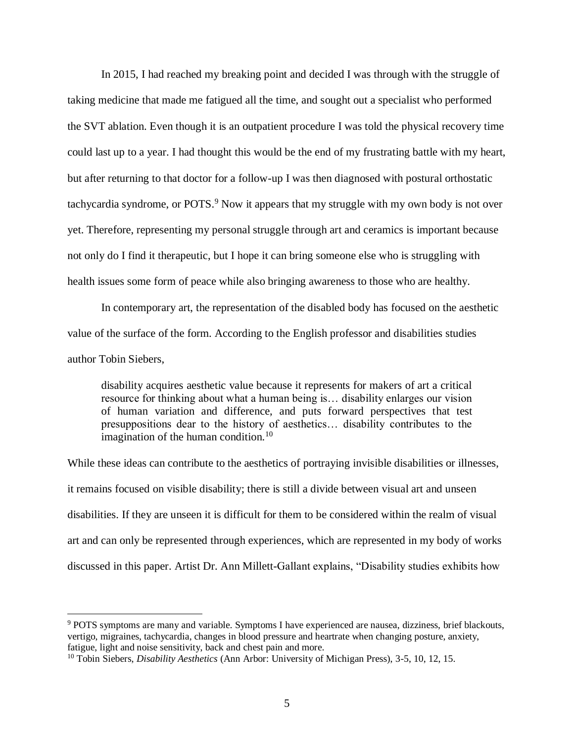In 2015, I had reached my breaking point and decided I was through with the struggle of taking medicine that made me fatigued all the time, and sought out a specialist who performed the SVT ablation. Even though it is an outpatient procedure I was told the physical recovery time could last up to a year. I had thought this would be the end of my frustrating battle with my heart, but after returning to that doctor for a follow-up I was then diagnosed with postural orthostatic tachycardia syndrome, or POTS.<sup>9</sup> Now it appears that my struggle with my own body is not over yet. Therefore, representing my personal struggle through art and ceramics is important because not only do I find it therapeutic, but I hope it can bring someone else who is struggling with health issues some form of peace while also bringing awareness to those who are healthy.

In contemporary art, the representation of the disabled body has focused on the aesthetic value of the surface of the form. According to the English professor and disabilities studies author Tobin Siebers,

disability acquires aesthetic value because it represents for makers of art a critical resource for thinking about what a human being is… disability enlarges our vision of human variation and difference, and puts forward perspectives that test presuppositions dear to the history of aesthetics… disability contributes to the imagination of the human condition.<sup>10</sup>

While these ideas can contribute to the aesthetics of portraying invisible disabilities or illnesses, it remains focused on visible disability; there is still a divide between visual art and unseen disabilities. If they are unseen it is difficult for them to be considered within the realm of visual art and can only be represented through experiences, which are represented in my body of works discussed in this paper. Artist Dr. Ann Millett-Gallant explains, "Disability studies exhibits how

<sup>9</sup> POTS symptoms are many and variable. Symptoms I have experienced are nausea, dizziness, brief blackouts, vertigo, migraines, tachycardia, changes in blood pressure and heartrate when changing posture, anxiety, fatigue, light and noise sensitivity, back and chest pain and more.

<sup>10</sup> Tobin Siebers, *Disability Aesthetics* (Ann Arbor: University of Michigan Press), 3-5, 10, 12, 15.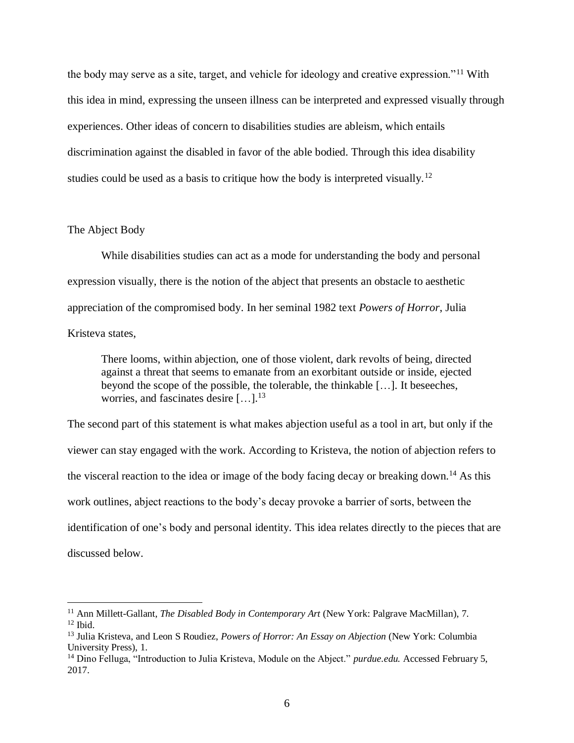the body may serve as a site, target, and vehicle for ideology and creative expression."<sup>11</sup> With this idea in mind, expressing the unseen illness can be interpreted and expressed visually through experiences. Other ideas of concern to disabilities studies are ableism, which entails discrimination against the disabled in favor of the able bodied. Through this idea disability studies could be used as a basis to critique how the body is interpreted visually.<sup>12</sup>

#### The Abject Body

 $\overline{a}$ 

While disabilities studies can act as a mode for understanding the body and personal expression visually, there is the notion of the abject that presents an obstacle to aesthetic appreciation of the compromised body. In her seminal 1982 text *Powers of Horror*, Julia Kristeva states,

There looms, within abjection, one of those violent, dark revolts of being, directed against a threat that seems to emanate from an exorbitant outside or inside, ejected beyond the scope of the possible, the tolerable, the thinkable […]. It beseeches, worries, and fascinates desire […].<sup>13</sup>

The second part of this statement is what makes abjection useful as a tool in art, but only if the viewer can stay engaged with the work. According to Kristeva, the notion of abjection refers to the visceral reaction to the idea or image of the body facing decay or breaking down.<sup>14</sup> As this work outlines, abject reactions to the body's decay provoke a barrier of sorts, between the identification of one's body and personal identity. This idea relates directly to the pieces that are discussed below.

<sup>11</sup> Ann Millett-Gallant, *The Disabled Body in Contemporary Art* (New York: Palgrave MacMillan), 7.  $12$  Ibid.

<sup>13</sup> Julia Kristeva, and Leon S Roudiez, *Powers of Horror: An Essay on Abjection* (New York: Columbia University Press), 1.

<sup>14</sup> Dino Felluga, "Introduction to Julia Kristeva, Module on the Abject." *purdue.edu.* Accessed February 5, 2017.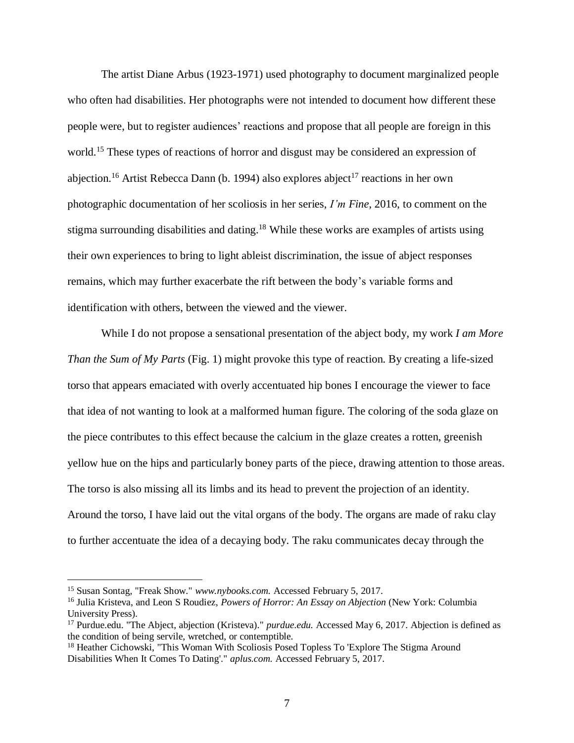The artist Diane Arbus (1923-1971) used photography to document marginalized people who often had disabilities. Her photographs were not intended to document how different these people were, but to register audiences' reactions and propose that all people are foreign in this world.<sup>15</sup> These types of reactions of horror and disgust may be considered an expression of abjection.<sup>16</sup> Artist Rebecca Dann (b. 1994) also explores abject<sup>17</sup> reactions in her own photographic documentation of her scoliosis in her series, *I'm Fine*, 2016, to comment on the stigma surrounding disabilities and dating.<sup>18</sup> While these works are examples of artists using their own experiences to bring to light ableist discrimination, the issue of abject responses remains, which may further exacerbate the rift between the body's variable forms and identification with others, between the viewed and the viewer.

While I do not propose a sensational presentation of the abject body, my work *I am More Than the Sum of My Parts* (Fig. 1) might provoke this type of reaction. By creating a life-sized torso that appears emaciated with overly accentuated hip bones I encourage the viewer to face that idea of not wanting to look at a malformed human figure. The coloring of the soda glaze on the piece contributes to this effect because the calcium in the glaze creates a rotten, greenish yellow hue on the hips and particularly boney parts of the piece, drawing attention to those areas. The torso is also missing all its limbs and its head to prevent the projection of an identity. Around the torso, I have laid out the vital organs of the body. The organs are made of raku clay to further accentuate the idea of a decaying body. The raku communicates decay through the

<sup>15</sup> Susan Sontag, "Freak Show." *www.nybooks.com.* Accessed February 5, 2017.

<sup>16</sup> Julia Kristeva, and Leon S Roudiez, *Powers of Horror: An Essay on Abjection* (New York: Columbia University Press).

<sup>17</sup> Purdue.edu. "The Abject, abjection (Kristeva)." *purdue.edu.* Accessed May 6, 2017. Abjection is defined as the condition of being servile, wretched, or contemptible.

<sup>&</sup>lt;sup>18</sup> Heather Cichowski, "This Woman With Scoliosis Posed Topless To 'Explore The Stigma Around Disabilities When It Comes To Dating'." *aplus.com.* Accessed February 5, 2017.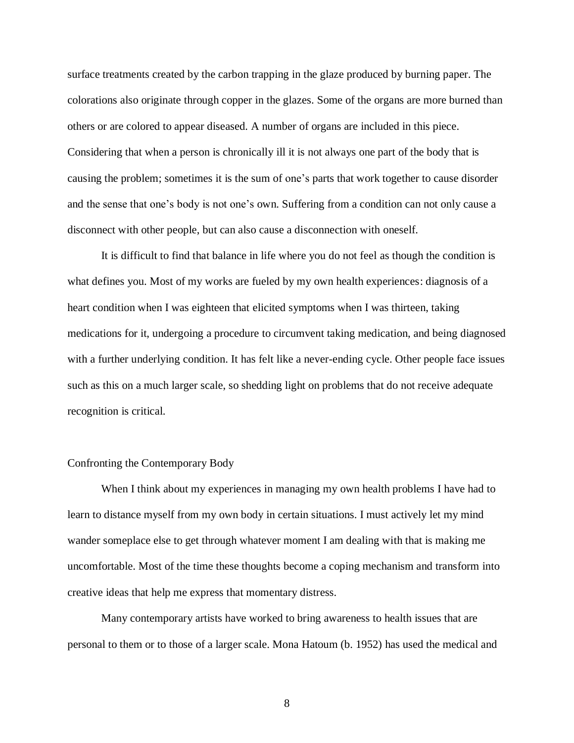surface treatments created by the carbon trapping in the glaze produced by burning paper. The colorations also originate through copper in the glazes. Some of the organs are more burned than others or are colored to appear diseased. A number of organs are included in this piece. Considering that when a person is chronically ill it is not always one part of the body that is causing the problem; sometimes it is the sum of one's parts that work together to cause disorder and the sense that one's body is not one's own. Suffering from a condition can not only cause a disconnect with other people, but can also cause a disconnection with oneself.

It is difficult to find that balance in life where you do not feel as though the condition is what defines you. Most of my works are fueled by my own health experiences: diagnosis of a heart condition when I was eighteen that elicited symptoms when I was thirteen, taking medications for it, undergoing a procedure to circumvent taking medication, and being diagnosed with a further underlying condition. It has felt like a never-ending cycle. Other people face issues such as this on a much larger scale, so shedding light on problems that do not receive adequate recognition is critical.

#### Confronting the Contemporary Body

When I think about my experiences in managing my own health problems I have had to learn to distance myself from my own body in certain situations. I must actively let my mind wander someplace else to get through whatever moment I am dealing with that is making me uncomfortable. Most of the time these thoughts become a coping mechanism and transform into creative ideas that help me express that momentary distress.

Many contemporary artists have worked to bring awareness to health issues that are personal to them or to those of a larger scale. Mona Hatoum (b. 1952) has used the medical and

8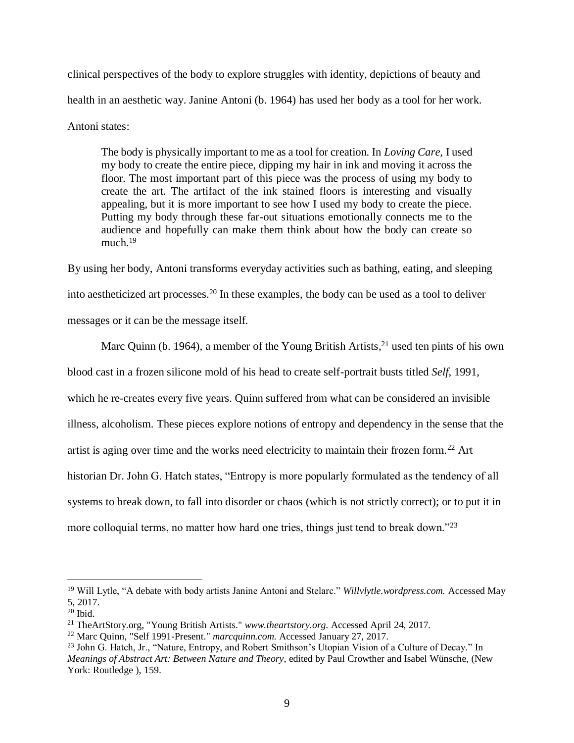clinical perspectives of the body to explore struggles with identity, depictions of beauty and health in an aesthetic way. Janine Antoni (b. 1964) has used her body as a tool for her work. Antoni states:

The body is physically important to me as a tool for creation. In *Loving Care,* I used my body to create the entire piece, dipping my hair in ink and moving it across the floor. The most important part of this piece was the process of using my body to create the art. The artifact of the ink stained floors is interesting and visually appealing, but it is more important to see how I used my body to create the piece. Putting my body through these far-out situations emotionally connects me to the audience and hopefully can make them think about how the body can create so much. $19$ 

By using her body, Antoni transforms everyday activities such as bathing, eating, and sleeping into aestheticized art processes.<sup>20</sup> In these examples, the body can be used as a tool to deliver messages or it can be the message itself.

Marc Quinn (b. 1964), a member of the Young British Artists,<sup>21</sup> used ten pints of his own blood cast in a frozen silicone mold of his head to create self-portrait busts titled *Self*, 1991, which he re-creates every five years. Quinn suffered from what can be considered an invisible illness, alcoholism. These pieces explore notions of entropy and dependency in the sense that the artist is aging over time and the works need electricity to maintain their frozen form.<sup>22</sup> Art historian Dr. John G. Hatch states, "Entropy is more popularly formulated as the tendency of all systems to break down, to fall into disorder or chaos (which is not strictly correct); or to put it in more colloquial terms, no matter how hard one tries, things just tend to break down."<sup>23</sup>

<sup>19</sup> Will Lytle, "A debate with body artists Janine Antoni and Stelarc." *Willvlytle.wordpress.com.* Accessed May 5, 2017.

<sup>20</sup> Ibid.

<sup>21</sup> TheArtStory.org, "Young British Artists." *www.theartstory.org.* Accessed April 24, 2017.

<sup>22</sup> Marc Quinn, "Self 1991-Present." *marcquinn.com.* Accessed January 27, 2017.

<sup>&</sup>lt;sup>23</sup> John G. Hatch, Jr., "Nature, Entropy, and Robert Smithson's Utopian Vision of a Culture of Decay." In *Meanings of Abstract Art: Between Nature and Theory*, edited by Paul Crowther and Isabel Wünsche, (New York: Routledge ), 159.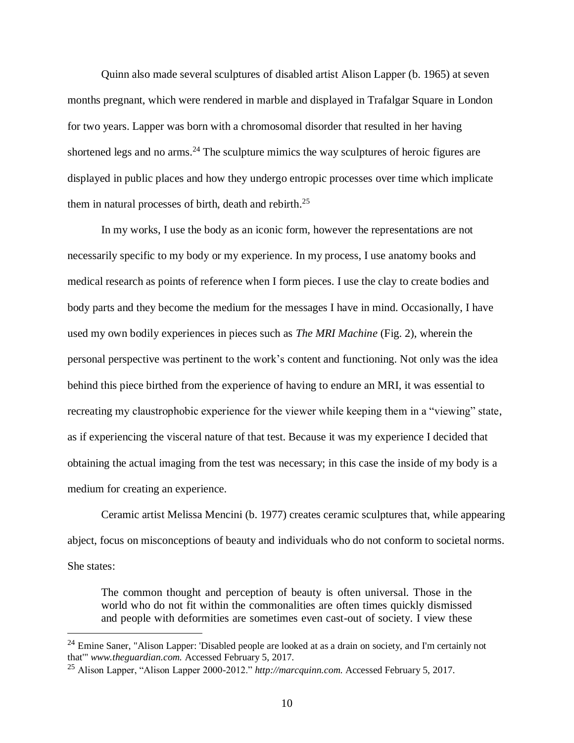Quinn also made several sculptures of disabled artist Alison Lapper (b. 1965) at seven months pregnant, which were rendered in marble and displayed in Trafalgar Square in London for two years. Lapper was born with a chromosomal disorder that resulted in her having shortened legs and no arms.<sup>24</sup> The sculpture mimics the way sculptures of heroic figures are displayed in public places and how they undergo entropic processes over time which implicate them in natural processes of birth, death and rebirth. 25

In my works, I use the body as an iconic form, however the representations are not necessarily specific to my body or my experience. In my process, I use anatomy books and medical research as points of reference when I form pieces. I use the clay to create bodies and body parts and they become the medium for the messages I have in mind. Occasionally, I have used my own bodily experiences in pieces such as *The MRI Machine* (Fig. 2), wherein the personal perspective was pertinent to the work's content and functioning. Not only was the idea behind this piece birthed from the experience of having to endure an MRI, it was essential to recreating my claustrophobic experience for the viewer while keeping them in a "viewing" state, as if experiencing the visceral nature of that test. Because it was my experience I decided that obtaining the actual imaging from the test was necessary; in this case the inside of my body is a medium for creating an experience.

Ceramic artist Melissa Mencini (b. 1977) creates ceramic sculptures that, while appearing abject, focus on misconceptions of beauty and individuals who do not conform to societal norms. She states:

The common thought and perception of beauty is often universal. Those in the world who do not fit within the commonalities are often times quickly dismissed and people with deformities are sometimes even cast-out of society. I view these

<sup>&</sup>lt;sup>24</sup> Emine Saner, "Alison Lapper: 'Disabled people are looked at as a drain on society, and I'm certainly not that'" *www.theguardian.com.* Accessed February 5, 2017.

<sup>25</sup> Alison Lapper, "Alison Lapper 2000-2012." *http://marcquinn.com.* Accessed February 5, 2017.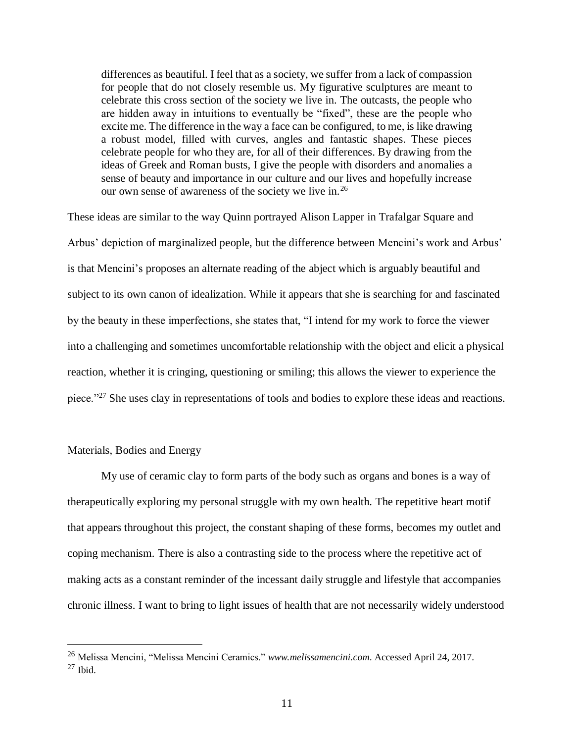differences as beautiful. I feel that as a society, we suffer from a lack of compassion for people that do not closely resemble us. My figurative sculptures are meant to celebrate this cross section of the society we live in. The outcasts, the people who are hidden away in intuitions to eventually be "fixed", these are the people who excite me. The difference in the way a face can be configured, to me, is like drawing a robust model, filled with curves, angles and fantastic shapes. These pieces celebrate people for who they are, for all of their differences. By drawing from the ideas of Greek and Roman busts, I give the people with disorders and anomalies a sense of beauty and importance in our culture and our lives and hopefully increase our own sense of awareness of the society we live in.<sup>26</sup>

These ideas are similar to the way Quinn portrayed Alison Lapper in Trafalgar Square and Arbus' depiction of marginalized people, but the difference between Mencini's work and Arbus' is that Mencini's proposes an alternate reading of the abject which is arguably beautiful and subject to its own canon of idealization. While it appears that she is searching for and fascinated by the beauty in these imperfections, she states that, "I intend for my work to force the viewer into a challenging and sometimes uncomfortable relationship with the object and elicit a physical reaction, whether it is cringing, questioning or smiling; this allows the viewer to experience the piece."<sup>27</sup> She uses clay in representations of tools and bodies to explore these ideas and reactions.

#### Materials, Bodies and Energy

 $\overline{a}$ 

My use of ceramic clay to form parts of the body such as organs and bones is a way of therapeutically exploring my personal struggle with my own health. The repetitive heart motif that appears throughout this project, the constant shaping of these forms, becomes my outlet and coping mechanism. There is also a contrasting side to the process where the repetitive act of making acts as a constant reminder of the incessant daily struggle and lifestyle that accompanies chronic illness. I want to bring to light issues of health that are not necessarily widely understood

<sup>26</sup> Melissa Mencini, "Melissa Mencini Ceramics." *www.melissamencini.com*. Accessed April 24, 2017.  $27$  Ibid.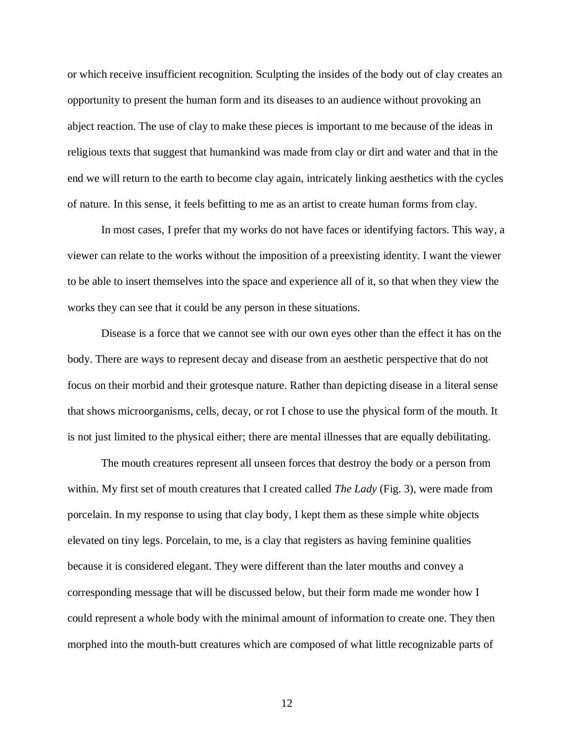or which receive insufficient recognition. Sculpting the insides of the body out of clay creates an opportunity to present the human form and its diseases to an audience without provoking an abject reaction. The use of clay to make these pieces is important to me because of the ideas in religious texts that suggest that humankind was made from clay or dirt and water and that in the end we will return to the earth to become clay again, intricately linking aesthetics with the cycles of nature. In this sense, it feels befitting to me as an artist to create human forms from clay.

In most cases, I prefer that my works do not have faces or identifying factors. This way, a viewer can relate to the works without the imposition of a preexisting identity. I want the viewer to be able to insert themselves into the space and experience all of it, so that when they view the works they can see that it could be any person in these situations.

Disease is a force that we cannot see with our own eyes other than the effect it has on the body. There are ways to represent decay and disease from an aesthetic perspective that do not focus on their morbid and their grotesque nature. Rather than depicting disease in a literal sense that shows microorganisms, cells, decay, or rot I chose to use the physical form of the mouth. It is not just limited to the physical either; there are mental illnesses that are equally debilitating.

The mouth creatures represent all unseen forces that destroy the body or a person from within. My first set of mouth creatures that I created called *The Lady* (Fig. 3), were made from porcelain. In my response to using that clay body, I kept them as these simple white objects elevated on tiny legs. Porcelain, to me, is a clay that registers as having feminine qualities because it is considered elegant. They were different than the later mouths and convey a corresponding message that will be discussed below, but their form made me wonder how I could represent a whole body with the minimal amount of information to create one. They then morphed into the mouth-butt creatures which are composed of what little recognizable parts of

12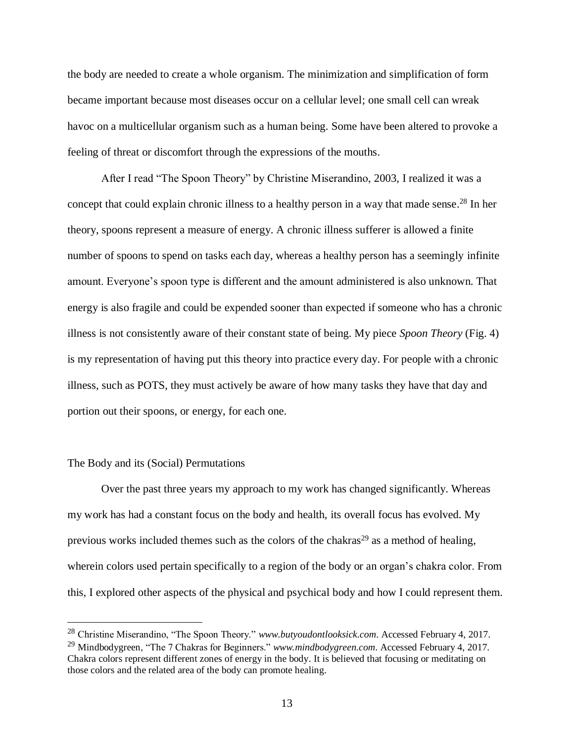the body are needed to create a whole organism. The minimization and simplification of form became important because most diseases occur on a cellular level; one small cell can wreak havoc on a multicellular organism such as a human being. Some have been altered to provoke a feeling of threat or discomfort through the expressions of the mouths.

After I read "The Spoon Theory" by Christine Miserandino, 2003, I realized it was a concept that could explain chronic illness to a healthy person in a way that made sense. <sup>28</sup> In her theory, spoons represent a measure of energy. A chronic illness sufferer is allowed a finite number of spoons to spend on tasks each day, whereas a healthy person has a seemingly infinite amount. Everyone's spoon type is different and the amount administered is also unknown. That energy is also fragile and could be expended sooner than expected if someone who has a chronic illness is not consistently aware of their constant state of being. My piece *Spoon Theory* (Fig. 4) is my representation of having put this theory into practice every day. For people with a chronic illness, such as POTS, they must actively be aware of how many tasks they have that day and portion out their spoons, or energy, for each one.

#### The Body and its (Social) Permutations

 $\overline{a}$ 

Over the past three years my approach to my work has changed significantly. Whereas my work has had a constant focus on the body and health, its overall focus has evolved. My previous works included themes such as the colors of the chakras<sup>29</sup> as a method of healing, wherein colors used pertain specifically to a region of the body or an organ's chakra color. From this, I explored other aspects of the physical and psychical body and how I could represent them.

<sup>28</sup> Christine Miserandino, "The Spoon Theory." *www.butyoudontlooksick.com*. Accessed February 4, 2017.

<sup>29</sup> Mindbodygreen, "The 7 Chakras for Beginners." *www.mindbodygreen.com*. Accessed February 4, 2017. Chakra colors represent different zones of energy in the body. It is believed that focusing or meditating on those colors and the related area of the body can promote healing.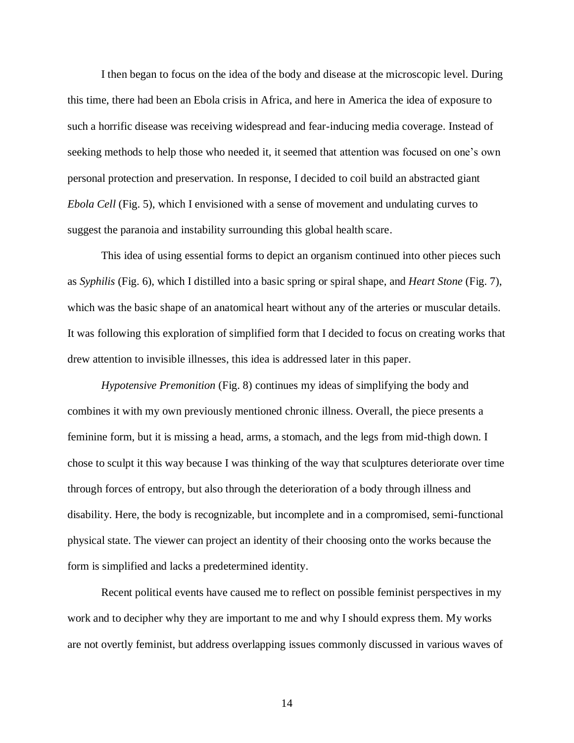I then began to focus on the idea of the body and disease at the microscopic level. During this time, there had been an Ebola crisis in Africa, and here in America the idea of exposure to such a horrific disease was receiving widespread and fear-inducing media coverage. Instead of seeking methods to help those who needed it, it seemed that attention was focused on one's own personal protection and preservation. In response, I decided to coil build an abstracted giant *Ebola Cell* (Fig. 5), which I envisioned with a sense of movement and undulating curves to suggest the paranoia and instability surrounding this global health scare.

This idea of using essential forms to depict an organism continued into other pieces such as *Syphilis* (Fig. 6), which I distilled into a basic spring or spiral shape, and *Heart Stone* (Fig. 7), which was the basic shape of an anatomical heart without any of the arteries or muscular details. It was following this exploration of simplified form that I decided to focus on creating works that drew attention to invisible illnesses, this idea is addressed later in this paper.

*Hypotensive Premonition* (Fig. 8) continues my ideas of simplifying the body and combines it with my own previously mentioned chronic illness. Overall, the piece presents a feminine form, but it is missing a head, arms, a stomach, and the legs from mid-thigh down. I chose to sculpt it this way because I was thinking of the way that sculptures deteriorate over time through forces of entropy, but also through the deterioration of a body through illness and disability. Here, the body is recognizable, but incomplete and in a compromised, semi-functional physical state. The viewer can project an identity of their choosing onto the works because the form is simplified and lacks a predetermined identity.

Recent political events have caused me to reflect on possible feminist perspectives in my work and to decipher why they are important to me and why I should express them. My works are not overtly feminist, but address overlapping issues commonly discussed in various waves of

14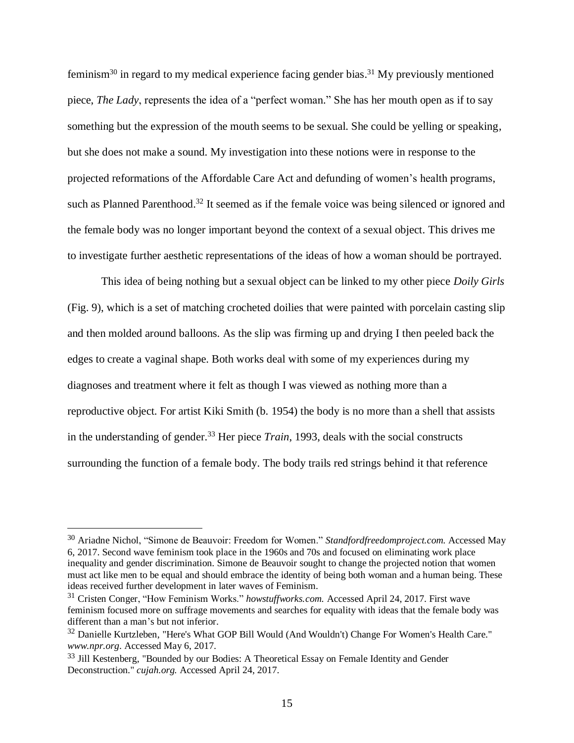feminism<sup>30</sup> in regard to my medical experience facing gender bias.<sup>31</sup> My previously mentioned piece, *The Lady*, represents the idea of a "perfect woman." She has her mouth open as if to say something but the expression of the mouth seems to be sexual. She could be yelling or speaking, but she does not make a sound. My investigation into these notions were in response to the projected reformations of the Affordable Care Act and defunding of women's health programs, such as Planned Parenthood.<sup>32</sup> It seemed as if the female voice was being silenced or ignored and the female body was no longer important beyond the context of a sexual object. This drives me to investigate further aesthetic representations of the ideas of how a woman should be portrayed.

This idea of being nothing but a sexual object can be linked to my other piece *Doily Girls* (Fig. 9), which is a set of matching crocheted doilies that were painted with porcelain casting slip and then molded around balloons. As the slip was firming up and drying I then peeled back the edges to create a vaginal shape. Both works deal with some of my experiences during my diagnoses and treatment where it felt as though I was viewed as nothing more than a reproductive object. For artist Kiki Smith (b. 1954) the body is no more than a shell that assists in the understanding of gender.<sup>33</sup> Her piece *Train*, 1993, deals with the social constructs surrounding the function of a female body. The body trails red strings behind it that reference

<sup>30</sup> Ariadne Nichol, "Simone de Beauvoir: Freedom for Women." *Standfordfreedomproject.com.* Accessed May 6, 2017. Second wave feminism took place in the 1960s and 70s and focused on eliminating work place inequality and gender discrimination. Simone de Beauvoir sought to change the projected notion that women must act like men to be equal and should embrace the identity of being both woman and a human being. These ideas received further development in later waves of Feminism.

<sup>31</sup> Cristen Conger, "How Feminism Works." *howstuffworks.com.* Accessed April 24, 2017. First wave feminism focused more on suffrage movements and searches for equality with ideas that the female body was different than a man's but not inferior.

<sup>&</sup>lt;sup>32</sup> Danielle Kurtzleben, "Here's What GOP Bill Would (And Wouldn't) Change For Women's Health Care." *www.npr.org*. Accessed May 6, 2017.

<sup>&</sup>lt;sup>33</sup> Jill Kestenberg, "Bounded by our Bodies: A Theoretical Essay on Female Identity and Gender Deconstruction." *cujah.org.* Accessed April 24, 2017.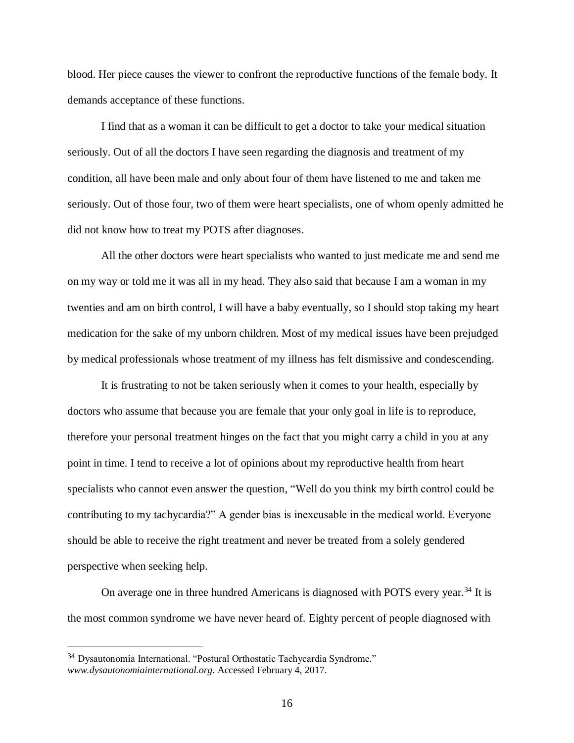blood. Her piece causes the viewer to confront the reproductive functions of the female body. It demands acceptance of these functions.

I find that as a woman it can be difficult to get a doctor to take your medical situation seriously. Out of all the doctors I have seen regarding the diagnosis and treatment of my condition, all have been male and only about four of them have listened to me and taken me seriously. Out of those four, two of them were heart specialists, one of whom openly admitted he did not know how to treat my POTS after diagnoses.

All the other doctors were heart specialists who wanted to just medicate me and send me on my way or told me it was all in my head. They also said that because I am a woman in my twenties and am on birth control, I will have a baby eventually, so I should stop taking my heart medication for the sake of my unborn children. Most of my medical issues have been prejudged by medical professionals whose treatment of my illness has felt dismissive and condescending.

It is frustrating to not be taken seriously when it comes to your health, especially by doctors who assume that because you are female that your only goal in life is to reproduce, therefore your personal treatment hinges on the fact that you might carry a child in you at any point in time. I tend to receive a lot of opinions about my reproductive health from heart specialists who cannot even answer the question, "Well do you think my birth control could be contributing to my tachycardia?" A gender bias is inexcusable in the medical world. Everyone should be able to receive the right treatment and never be treated from a solely gendered perspective when seeking help.

On average one in three hundred Americans is diagnosed with POTS every year.<sup>34</sup> It is the most common syndrome we have never heard of. Eighty percent of people diagnosed with

<sup>34</sup> Dysautonomia International. "Postural Orthostatic Tachycardia Syndrome." *www.dysautonomiainternational.org.* Accessed February 4, 2017.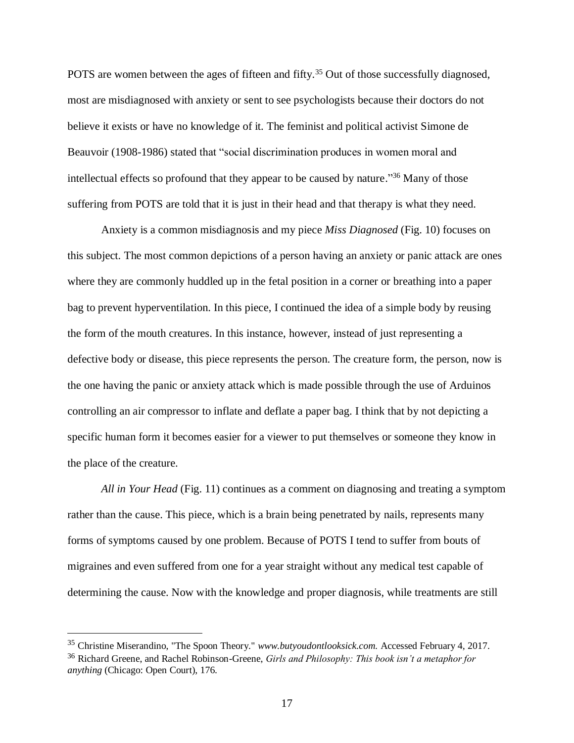POTS are women between the ages of fifteen and fifty.<sup>35</sup> Out of those successfully diagnosed, most are misdiagnosed with anxiety or sent to see psychologists because their doctors do not believe it exists or have no knowledge of it. The feminist and political activist Simone de Beauvoir (1908-1986) stated that "social discrimination produces in women moral and intellectual effects so profound that they appear to be caused by nature." <sup>36</sup> Many of those suffering from POTS are told that it is just in their head and that therapy is what they need.

Anxiety is a common misdiagnosis and my piece *Miss Diagnosed* (Fig. 10) focuses on this subject. The most common depictions of a person having an anxiety or panic attack are ones where they are commonly huddled up in the fetal position in a corner or breathing into a paper bag to prevent hyperventilation. In this piece, I continued the idea of a simple body by reusing the form of the mouth creatures. In this instance, however, instead of just representing a defective body or disease, this piece represents the person. The creature form, the person, now is the one having the panic or anxiety attack which is made possible through the use of Arduinos controlling an air compressor to inflate and deflate a paper bag. I think that by not depicting a specific human form it becomes easier for a viewer to put themselves or someone they know in the place of the creature.

*All in Your Head* (Fig. 11) continues as a comment on diagnosing and treating a symptom rather than the cause. This piece, which is a brain being penetrated by nails, represents many forms of symptoms caused by one problem. Because of POTS I tend to suffer from bouts of migraines and even suffered from one for a year straight without any medical test capable of determining the cause. Now with the knowledge and proper diagnosis, while treatments are still

<sup>35</sup> Christine Miserandino, "The Spoon Theory." *www.butyoudontlooksick.com.* Accessed February 4, 2017. <sup>36</sup> Richard Greene, and Rachel Robinson-Greene, *Girls and Philosophy: This book isn't a metaphor for anything* (Chicago: Open Court), 176.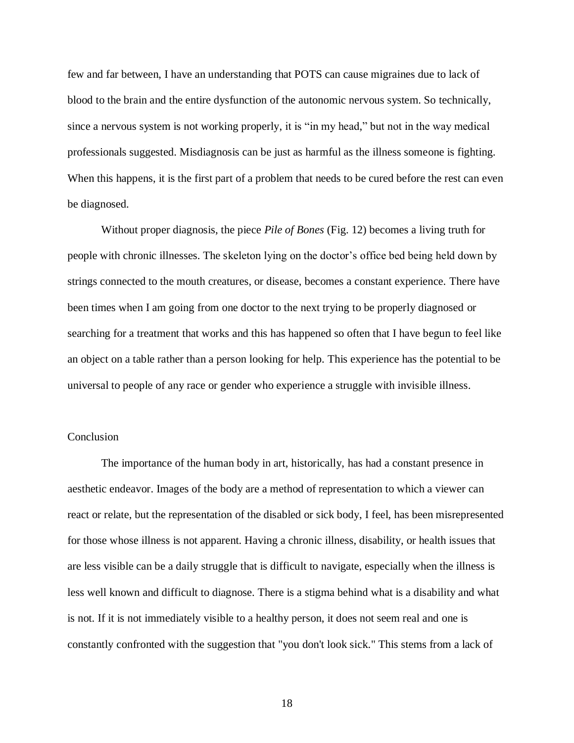few and far between, I have an understanding that POTS can cause migraines due to lack of blood to the brain and the entire dysfunction of the autonomic nervous system. So technically, since a nervous system is not working properly, it is "in my head," but not in the way medical professionals suggested. Misdiagnosis can be just as harmful as the illness someone is fighting. When this happens, it is the first part of a problem that needs to be cured before the rest can even be diagnosed.

Without proper diagnosis, the piece *Pile of Bones* (Fig. 12) becomes a living truth for people with chronic illnesses. The skeleton lying on the doctor's office bed being held down by strings connected to the mouth creatures, or disease, becomes a constant experience. There have been times when I am going from one doctor to the next trying to be properly diagnosed or searching for a treatment that works and this has happened so often that I have begun to feel like an object on a table rather than a person looking for help. This experience has the potential to be universal to people of any race or gender who experience a struggle with invisible illness.

#### Conclusion

The importance of the human body in art, historically, has had a constant presence in aesthetic endeavor. Images of the body are a method of representation to which a viewer can react or relate, but the representation of the disabled or sick body, I feel, has been misrepresented for those whose illness is not apparent. Having a chronic illness, disability, or health issues that are less visible can be a daily struggle that is difficult to navigate, especially when the illness is less well known and difficult to diagnose. There is a stigma behind what is a disability and what is not. If it is not immediately visible to a healthy person, it does not seem real and one is constantly confronted with the suggestion that "you don't look sick." This stems from a lack of

18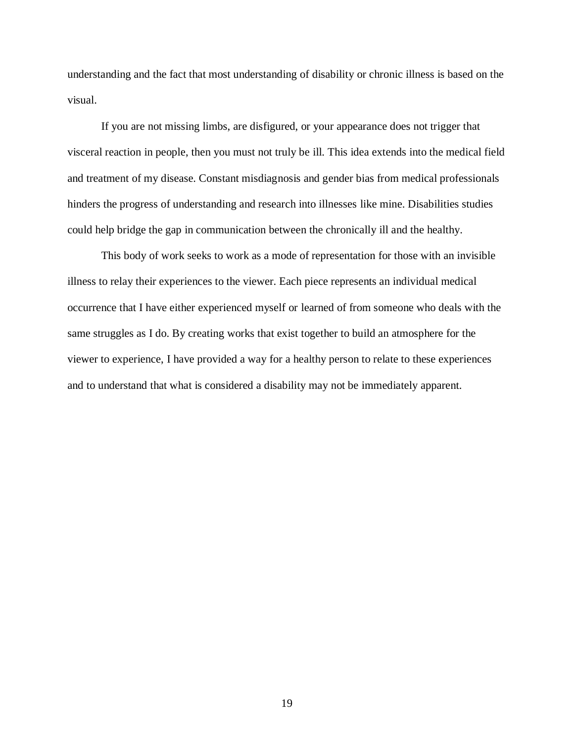understanding and the fact that most understanding of disability or chronic illness is based on the visual.

If you are not missing limbs, are disfigured, or your appearance does not trigger that visceral reaction in people, then you must not truly be ill. This idea extends into the medical field and treatment of my disease. Constant misdiagnosis and gender bias from medical professionals hinders the progress of understanding and research into illnesses like mine. Disabilities studies could help bridge the gap in communication between the chronically ill and the healthy.

This body of work seeks to work as a mode of representation for those with an invisible illness to relay their experiences to the viewer. Each piece represents an individual medical occurrence that I have either experienced myself or learned of from someone who deals with the same struggles as I do. By creating works that exist together to build an atmosphere for the viewer to experience, I have provided a way for a healthy person to relate to these experiences and to understand that what is considered a disability may not be immediately apparent.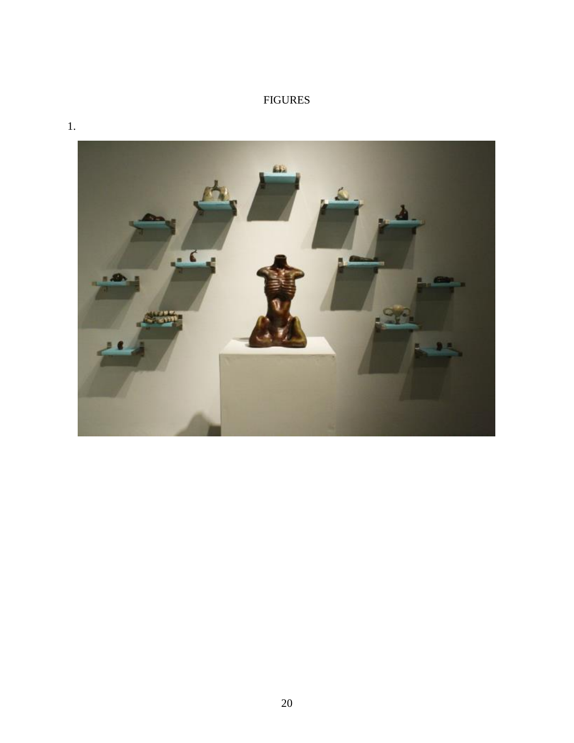# FIGURES



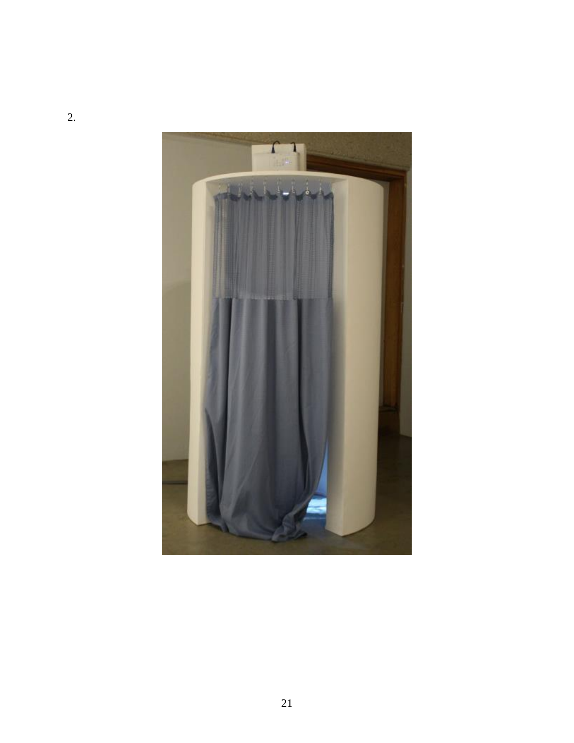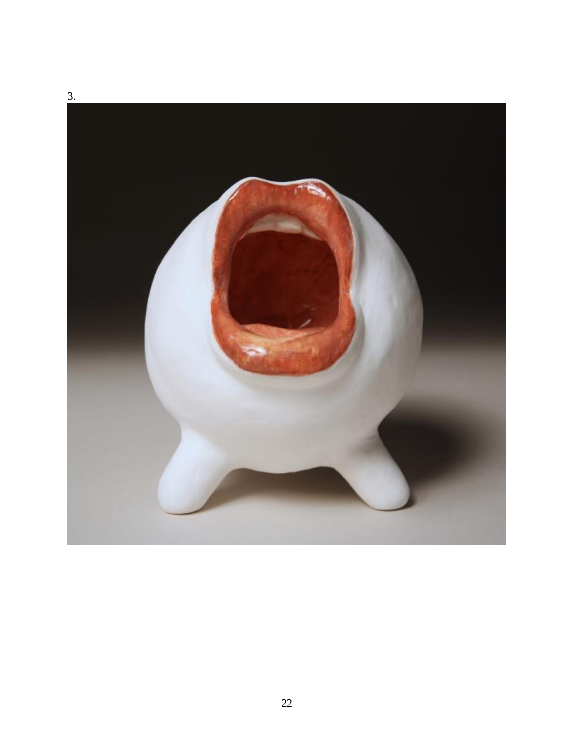

22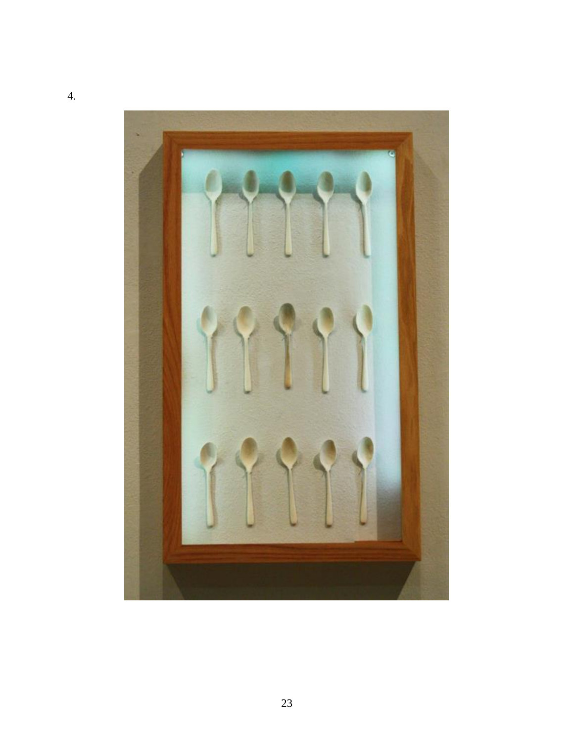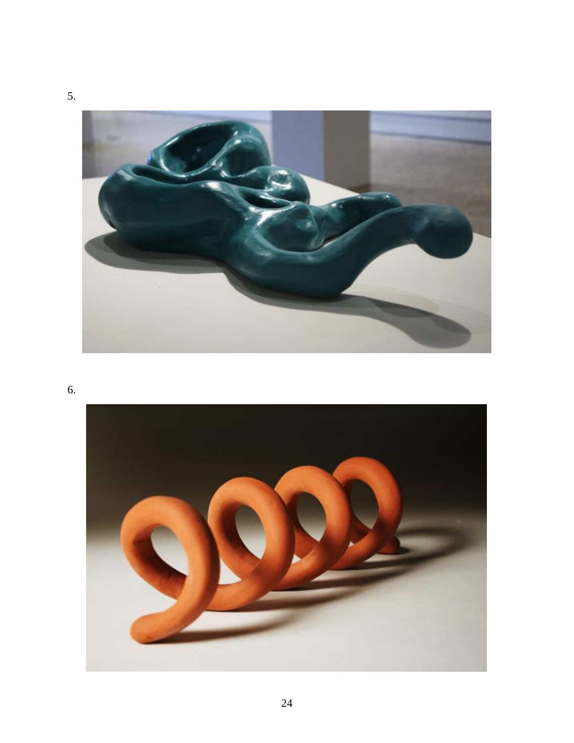

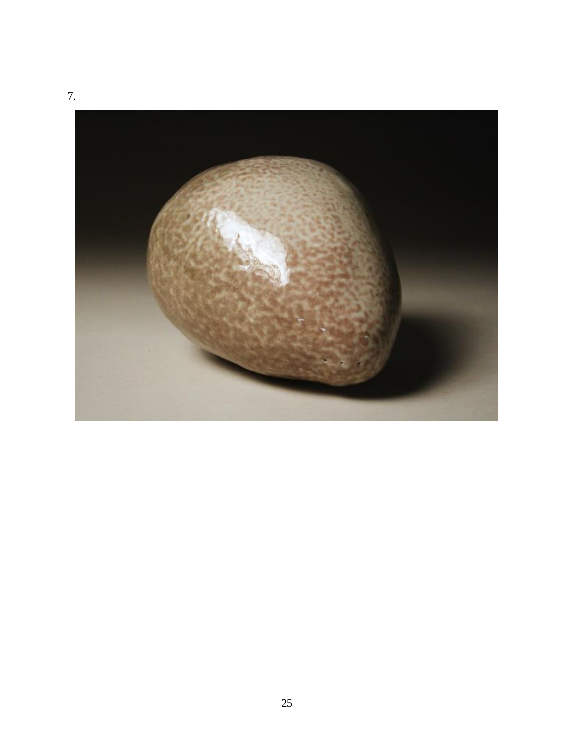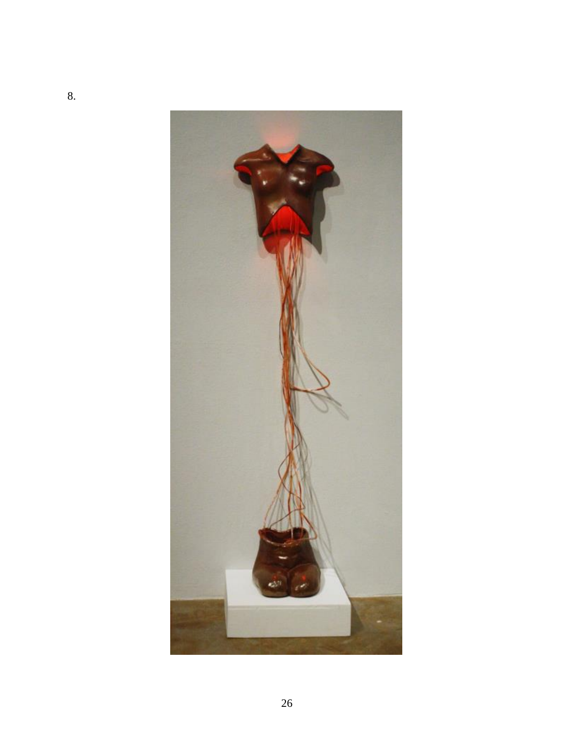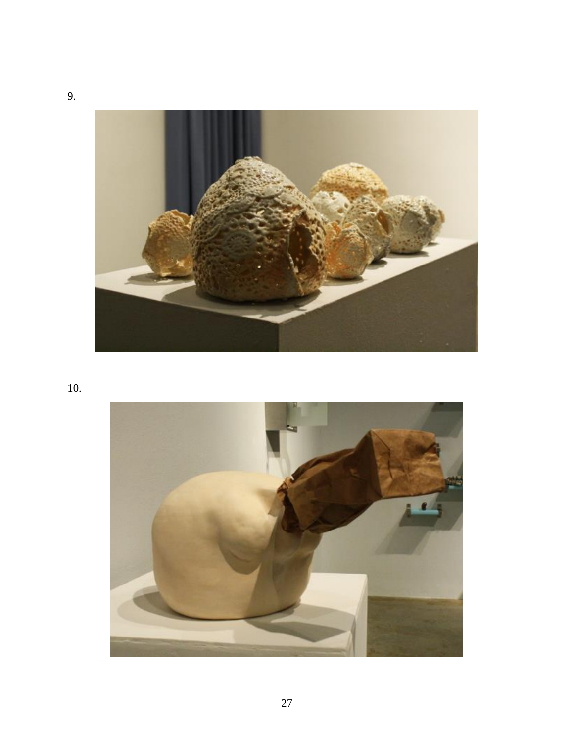

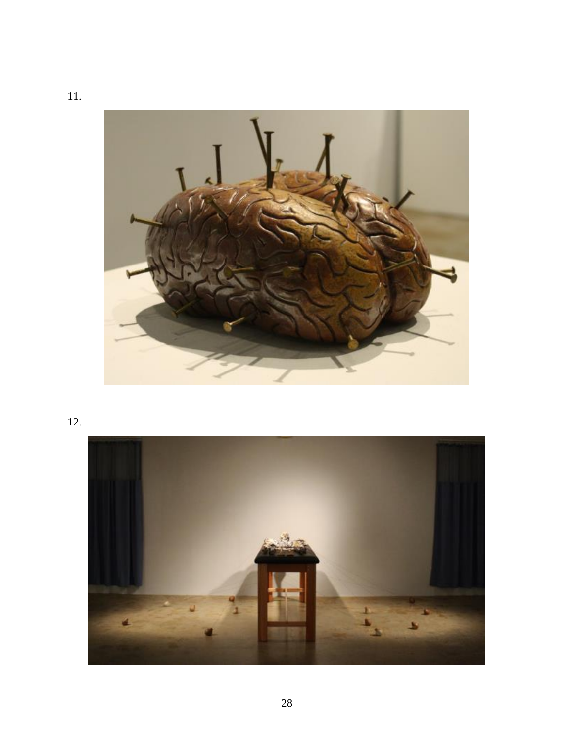

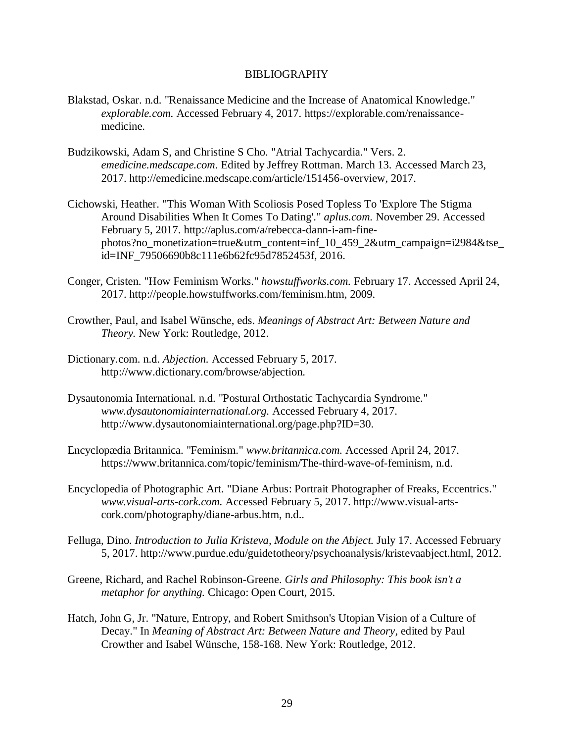#### BIBLIOGRAPHY

- Blakstad, Oskar. n.d. "Renaissance Medicine and the Increase of Anatomical Knowledge." *explorable.com.* Accessed February 4, 2017. https://explorable.com/renaissancemedicine.
- Budzikowski, Adam S, and Christine S Cho. "Atrial Tachycardia." Vers. 2. *emedicine.medscape.com.* Edited by Jeffrey Rottman. March 13. Accessed March 23, 2017. http://emedicine.medscape.com/article/151456-overview, 2017.
- Cichowski, Heather. "This Woman With Scoliosis Posed Topless To 'Explore The Stigma Around Disabilities When It Comes To Dating'." *aplus.com.* November 29. Accessed February 5, 2017. http://aplus.com/a/rebecca-dann-i-am-finephotos?no\_monetization=true&utm\_content=inf\_10\_459\_2&utm\_campaign=i2984&tse\_ id=INF\_79506690b8c111e6b62fc95d7852453f, 2016.
- Conger, Cristen. "How Feminism Works." *howstuffworks.com.* February 17. Accessed April 24, 2017. http://people.howstuffworks.com/feminism.htm, 2009.
- Crowther, Paul, and Isabel Wünsche, eds. *Meanings of Abstract Art: Between Nature and Theory.* New York: Routledge, 2012.
- Dictionary.com. n.d. *Abjection.* Accessed February 5, 2017. http://www.dictionary.com/browse/abjection.
- Dysautonomia International. n.d. "Postural Orthostatic Tachycardia Syndrome." *www.dysautonomiainternational.org.* Accessed February 4, 2017. http://www.dysautonomiainternational.org/page.php?ID=30.
- Encyclopædia Britannica. "Feminism." *www.britannica.com.* Accessed April 24, 2017. https://www.britannica.com/topic/feminism/The-third-wave-of-feminism, n.d.
- Encyclopedia of Photographic Art. "Diane Arbus: Portrait Photographer of Freaks, Eccentrics." *www.visual-arts-cork.com.* Accessed February 5, 2017. http://www.visual-artscork.com/photography/diane-arbus.htm, n.d..
- Felluga, Dino. *Introduction to Julia Kristeva, Module on the Abject.* July 17. Accessed February 5, 2017. http://www.purdue.edu/guidetotheory/psychoanalysis/kristevaabject.html, 2012.
- Greene, Richard, and Rachel Robinson-Greene. *Girls and Philosophy: This book isn't a metaphor for anything.* Chicago: Open Court, 2015.
- Hatch, John G, Jr. "Nature, Entropy, and Robert Smithson's Utopian Vision of a Culture of Decay." In *Meaning of Abstract Art: Between Nature and Theory*, edited by Paul Crowther and Isabel Wünsche, 158-168. New York: Routledge, 2012.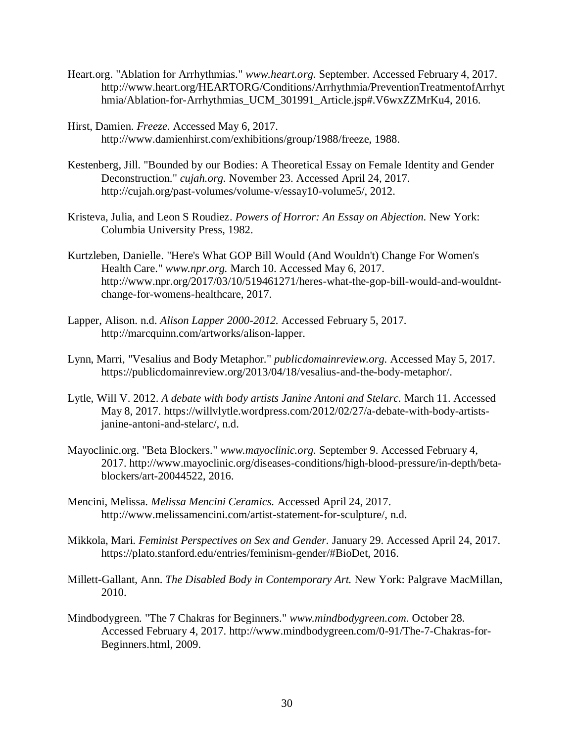- Heart.org. "Ablation for Arrhythmias." *www.heart.org.* September. Accessed February 4, 2017. http://www.heart.org/HEARTORG/Conditions/Arrhythmia/PreventionTreatmentofArrhyt hmia/Ablation-for-Arrhythmias\_UCM\_301991\_Article.jsp#.V6wxZZMrKu4, 2016.
- Hirst, Damien. *Freeze.* Accessed May 6, 2017. http://www.damienhirst.com/exhibitions/group/1988/freeze, 1988.
- Kestenberg, Jill. "Bounded by our Bodies: A Theoretical Essay on Female Identity and Gender Deconstruction." *cujah.org.* November 23. Accessed April 24, 2017. http://cujah.org/past-volumes/volume-v/essay10-volume5/, 2012.
- Kristeva, Julia, and Leon S Roudiez. *Powers of Horror: An Essay on Abjection.* New York: Columbia University Press, 1982.
- Kurtzleben, Danielle. "Here's What GOP Bill Would (And Wouldn't) Change For Women's Health Care." *www.npr.org.* March 10. Accessed May 6, 2017. http://www.npr.org/2017/03/10/519461271/heres-what-the-gop-bill-would-and-wouldntchange-for-womens-healthcare, 2017.
- Lapper, Alison. n.d. *Alison Lapper 2000-2012.* Accessed February 5, 2017. http://marcquinn.com/artworks/alison-lapper.
- Lynn, Marri, "Vesalius and Body Metaphor." *publicdomainreview.org.* Accessed May 5, 2017. https://publicdomainreview.org/2013/04/18/vesalius-and-the-body-metaphor/.
- Lytle, Will V. 2012. *A debate with body artists Janine Antoni and Stelarc.* March 11. Accessed May 8, 2017. https://willvlytle.wordpress.com/2012/02/27/a-debate-with-body-artistsjanine-antoni-and-stelarc/, n.d.
- Mayoclinic.org. "Beta Blockers." *www.mayoclinic.org.* September 9. Accessed February 4, 2017. http://www.mayoclinic.org/diseases-conditions/high-blood-pressure/in-depth/betablockers/art-20044522, 2016.
- Mencini, Melissa. *Melissa Mencini Ceramics.* Accessed April 24, 2017. http://www.melissamencini.com/artist-statement-for-sculpture/, n.d.
- Mikkola, Mari. *Feminist Perspectives on Sex and Gender.* January 29. Accessed April 24, 2017. https://plato.stanford.edu/entries/feminism-gender/#BioDet, 2016.
- Millett-Gallant, Ann. *The Disabled Body in Contemporary Art.* New York: Palgrave MacMillan, 2010.
- Mindbodygreen. "The 7 Chakras for Beginners." *www.mindbodygreen.com.* October 28. Accessed February 4, 2017. http://www.mindbodygreen.com/0-91/The-7-Chakras-for-Beginners.html, 2009.